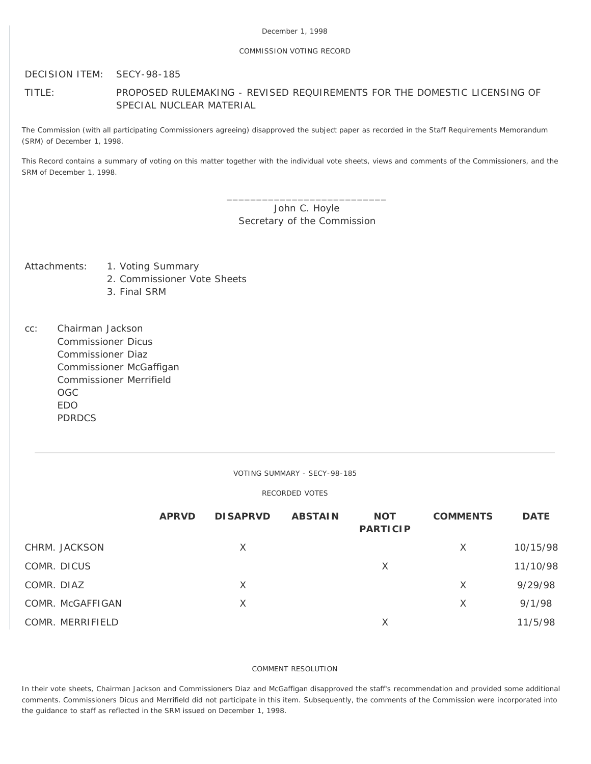# COMMISSION VOTING RECORD

DECISION ITEM: SECY-98-185

# TITLE: PROPOSED RULEMAKING - REVISED REQUIREMENTS FOR THE DOMESTIC LICENSING OF SPECIAL NUCLEAR MATERIAL

The Commission (with all participating Commissioners agreeing) disapproved the subject paper as recorded in the Staff Requirements Memorandum (SRM) of December 1, 1998.

This Record contains a summary of voting on this matter together with the individual vote sheets, views and comments of the Commissioners, and the SRM of December 1, 1998.

> \_\_\_\_\_\_\_\_\_\_\_\_\_\_\_\_\_\_\_\_\_\_\_\_\_\_\_ John C. Hoyle Secretary of the Commission

- Attachments: 1. Voting Summary
	- 2. Commissioner Vote Sheets
	- 3. Final SRM
- cc: Chairman Jackson Commissioner Dicus Commissioner Diaz Commissioner McGaffigan Commissioner Merrifield OGC EDO PDRDCS

VOTING SUMMARY - SECY-98-185

RECORDED VOTES

|                  | <b>APRVD</b> | <b>DISAPRVD</b> | <b>ABSTAIN</b> | <b>NOT</b><br><b>PARTICIP</b> | <b>COMMENTS</b> | <b>DATE</b> |
|------------------|--------------|-----------------|----------------|-------------------------------|-----------------|-------------|
| CHRM. JACKSON    |              | X               |                |                               | $\times$        | 10/15/98    |
| COMR. DICUS      |              |                 |                | Χ                             |                 | 11/10/98    |
| COMR. DIAZ       |              | X               |                |                               | X               | 9/29/98     |
| COMR. McGAFFIGAN |              | X               |                |                               | X               | 9/1/98      |
| COMR. MERRIFIELD |              |                 |                | X                             |                 | 11/5/98     |

## COMMENT RESOLUTION

In their vote sheets, Chairman Jackson and Commissioners Diaz and McGaffigan disapproved the staff's recommendation and provided some additional comments. Commissioners Dicus and Merrifield did not participate in this item. Subsequently, the comments of the Commission were incorporated into the guidance to staff as reflected in the SRM issued on December 1, 1998.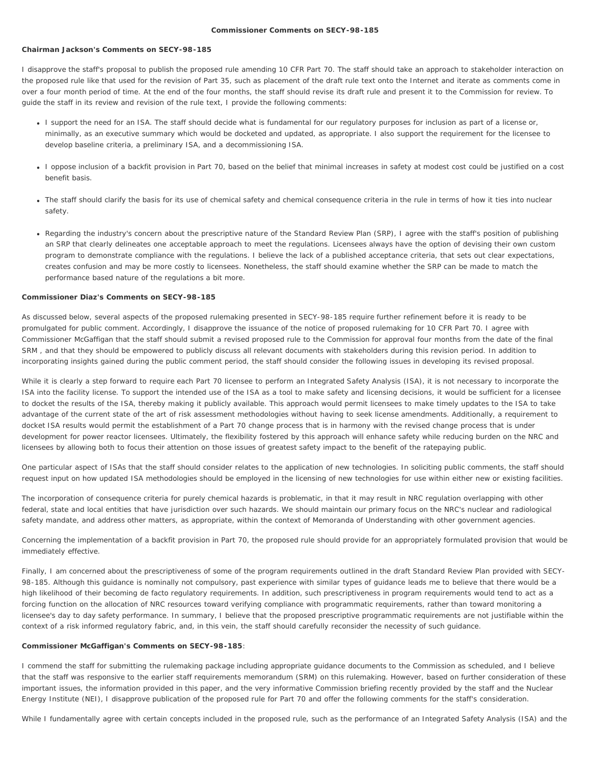#### **Commissioner Comments on SECY-98-185**

## **Chairman Jackson's Comments on SECY-98-185**

I disapprove the staff's proposal to publish the proposed rule amending 10 CFR Part 70. The staff should take an approach to stakeholder interaction on the proposed rule like that used for the revision of Part 35, such as placement of the draft rule text onto the Internet and iterate as comments come in over a four month period of time. At the end of the four months, the staff should revise its draft rule and present it to the Commission for review. To guide the staff in its review and revision of the rule text, I provide the following comments:

- I support the need for an ISA. The staff should decide what is fundamental for our regulatory purposes for inclusion as part of a license or, minimally, as an executive summary which would be docketed and updated, as appropriate. I also support the requirement for the licensee to develop baseline criteria, a preliminary ISA, and a decommissioning ISA.
- I oppose inclusion of a backfit provision in Part 70, based on the belief that minimal increases in safety at modest cost could be justified on a cost benefit basis.
- The staff should clarify the basis for its use of chemical safety and chemical consequence criteria in the rule in terms of how it ties into nuclear safety.
- Regarding the industry's concern about the prescriptive nature of the Standard Review Plan (SRP), I agree with the staff's position of publishing an SRP that clearly delineates one acceptable approach to meet the regulations. Licensees always have the option of devising their own custom program to demonstrate compliance with the regulations. I believe the lack of a published acceptance criteria, that sets out clear expectations, creates confusion and may be more costly to licensees. Nonetheless, the staff should examine whether the SRP can be made to match the performance based nature of the regulations a bit more.

# **Commissioner Diaz's Comments on SECY-98-185**

As discussed below, several aspects of the proposed rulemaking presented in SECY-98-185 require further refinement before it is ready to be promulgated for public comment. Accordingly, I disapprove the issuance of the notice of proposed rulemaking for 10 CFR Part 70. I agree with Commissioner McGaffigan that the staff should submit a revised proposed rule to the Commission for approval four months from the date of the final SRM , and that they should be empowered to publicly discuss all relevant documents with stakeholders during this revision period. In addition to incorporating insights gained during the public comment period, the staff should consider the following issues in developing its revised proposal.

While it is clearly a step forward to require each Part 70 licensee to perform an Integrated Safety Analysis (ISA), it is not necessary to incorporate the ISA into the facility license. To support the intended use of the ISA as a tool to make safety and licensing decisions, it would be sufficient for a licensee to docket the results of the ISA, thereby making it publicly available. This approach would permit licensees to make timely updates to the ISA to take advantage of the current state of the art of risk assessment methodologies without having to seek license amendments. Additionally, a requirement to docket ISA results would permit the establishment of a Part 70 change process that is in harmony with the revised change process that is under development for power reactor licensees. Ultimately, the flexibility fostered by this approach will enhance safety while reducing burden on the NRC and licensees by allowing both to focus their attention on those issues of greatest safety impact to the benefit of the ratepaying public.

One particular aspect of ISAs that the staff should consider relates to the application of new technologies. In soliciting public comments, the staff should request input on how updated ISA methodologies should be employed in the licensing of new technologies for use within either new or existing facilities.

The incorporation of consequence criteria for purely chemical hazards is problematic, in that it may result in NRC regulation overlapping with other federal, state and local entities that have jurisdiction over such hazards. We should maintain our primary focus on the NRC's nuclear and radiological safety mandate, and address other matters, as appropriate, within the context of Memoranda of Understanding with other government agencies.

Concerning the implementation of a backfit provision in Part 70, the proposed rule should provide for an appropriately formulated provision that would be immediately effective.

Finally, I am concerned about the prescriptiveness of some of the program requirements outlined in the draft Standard Review Plan provided with SECY-98-185. Although this guidance is nominally not compulsory, past experience with similar types of guidance leads me to believe that there would be a high likelihood of their becoming de facto regulatory requirements. In addition, such prescriptiveness in program requirements would tend to act as a forcing function on the allocation of NRC resources toward verifying compliance with programmatic requirements, rather than toward monitoring a licensee's day to day safety performance. In summary, I believe that the proposed prescriptive programmatic requirements are not justifiable within the context of a risk informed regulatory fabric, and, in this vein, the staff should carefully reconsider the necessity of such guidance.

## **Commissioner McGaffigan's Comments on SECY-98-185**:

I commend the staff for submitting the rulemaking package including appropriate guidance documents to the Commission as scheduled, and I believe that the staff was responsive to the earlier staff requirements memorandum (SRM) on this rulemaking. However, based on further consideration of these important issues, the information provided in this paper, and the very informative Commission briefing recently provided by the staff and the Nuclear Energy Institute (NEI), I disapprove publication of the proposed rule for Part 70 and offer the following comments for the staff's consideration.

While I fundamentally agree with certain concepts included in the proposed rule, such as the performance of an Integrated Safety Analysis (ISA) and the